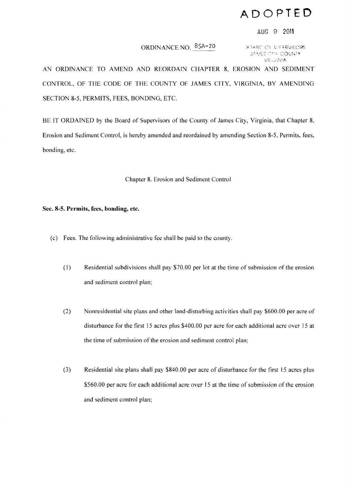## **ADOPTED**

## AUG 9 2011

## ORDINANCE NO. 85A-20

GOARD OF JUFFRVISORS **JAMES CITY COUNTY** VERSINIA

AN ORDINANCE TO AMEND AND REORDAIN CHAPTER 8, EROSION AND SEDIMENT CONTROL, OF THE CODE OF THE COUNTY OF JAMES CITY, VIRGINIA, BY AMENDING SECTION 8-5, PERMITS, FEES, BONDING, ETC.

BE IT ORDAINED by the Board of Supervisors of the County of James City, Virginia, that Chapter 8, Erosion and Sediment Control, is hereby amended and reordained by amending Section 8-5, Permits, fees, bonding, etc.

Chapter 8. Erosion and Sediment Control

## **Sec. 8-5. Permits, fees, bonding, etc.**

- (c) Fees. The following administrative fee shall be paid to the county.
	- (1) Residential subdivisions shall pay \$70.00 per lot at the time of submission of the erosion and sediment control plan;
	- (2) Nonresidential site plans and other land-disturbing activities shall pay \$600.00 per acre of disturbance for the first 15 acres plus \$400.00 per acre for each additional acre over 15 at the time of submission of the erosion and sediment control plan;
	- (3) Residential site plans shall pay \$840.00 per acre of disturbance for the first 15 acres plus \$560.00 per acre for each additional acre over IS at the time of submission of the erosion and sediment control plan;